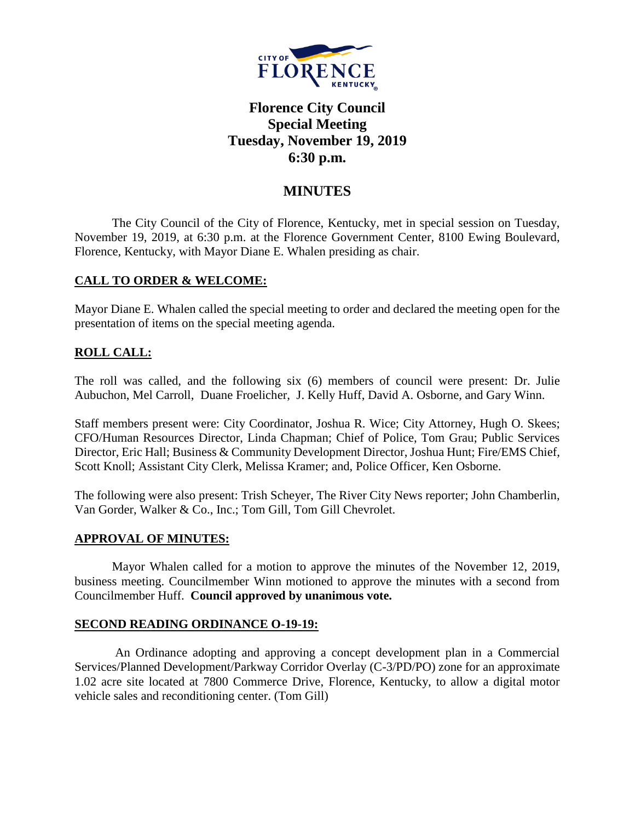

# **Florence City Council Special Meeting Tuesday, November 19, 2019 6:30 p.m.**

## **MINUTES**

The City Council of the City of Florence, Kentucky, met in special session on Tuesday, November 19, 2019, at 6:30 p.m. at the Florence Government Center, 8100 Ewing Boulevard, Florence, Kentucky, with Mayor Diane E. Whalen presiding as chair.

### **CALL TO ORDER & WELCOME:**

Mayor Diane E. Whalen called the special meeting to order and declared the meeting open for the presentation of items on the special meeting agenda.

### **ROLL CALL:**

The roll was called, and the following six (6) members of council were present: Dr. Julie Aubuchon, Mel Carroll, Duane Froelicher, J. Kelly Huff, David A. Osborne, and Gary Winn.

Staff members present were: City Coordinator, Joshua R. Wice; City Attorney, Hugh O. Skees; CFO/Human Resources Director, Linda Chapman; Chief of Police, Tom Grau; Public Services Director, Eric Hall; Business & Community Development Director, Joshua Hunt; Fire/EMS Chief, Scott Knoll; Assistant City Clerk, Melissa Kramer; and, Police Officer, Ken Osborne.

The following were also present: Trish Scheyer, The River City News reporter; John Chamberlin, Van Gorder, Walker & Co., Inc.; Tom Gill, Tom Gill Chevrolet.

### **APPROVAL OF MINUTES:**

Mayor Whalen called for a motion to approve the minutes of the November 12, 2019, business meeting. Councilmember Winn motioned to approve the minutes with a second from Councilmember Huff. **Council approved by unanimous vote.** 

### **SECOND READING ORDINANCE O-19-19:**

An Ordinance adopting and approving a concept development plan in a Commercial Services/Planned Development/Parkway Corridor Overlay (C-3/PD/PO) zone for an approximate 1.02 acre site located at 7800 Commerce Drive, Florence, Kentucky, to allow a digital motor vehicle sales and reconditioning center. (Tom Gill)